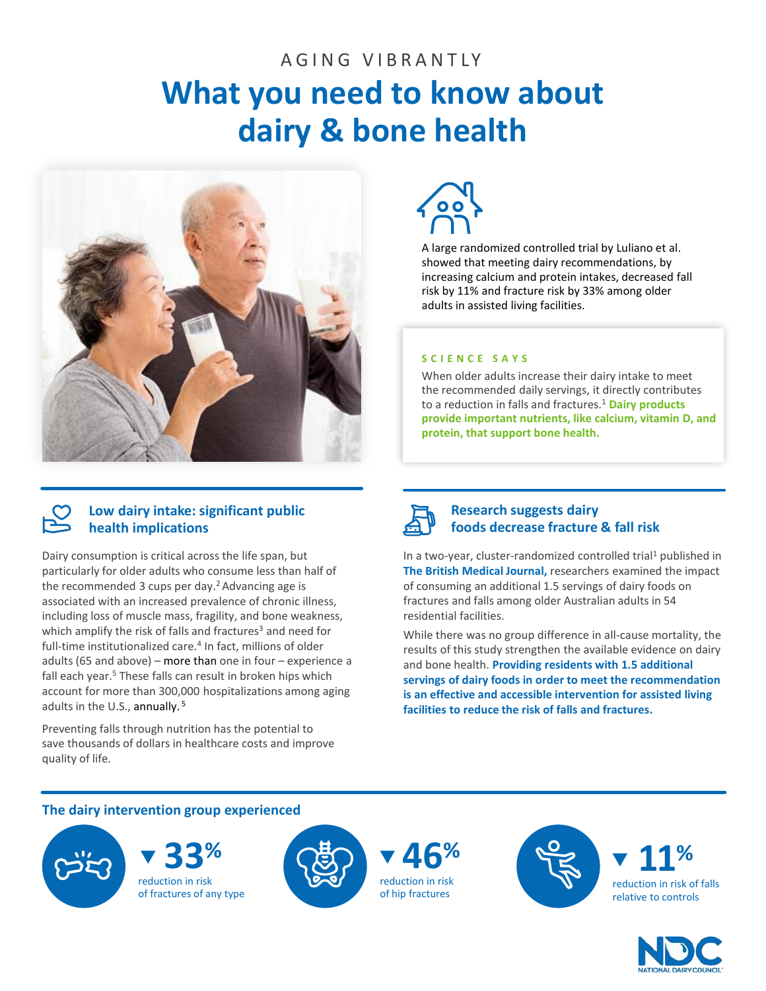# AGING VIBRANTIY **What you need to know about dairy & bone health**



# **Low dairy intake: significant public health implications**

Dairy consumption is critical across the life span, but particularly for older adults who consume less than half of the recommended 3 cups per day.<sup>2</sup> Advancing age is associated with an increased prevalence of chronic illness, including loss of muscle mass, fragility, and bone weakness, which amplify the risk of falls and fractures<sup>3</sup> and need for full-time institutionalized care.<sup>4</sup> In fact, millions of older adults (65 and above) – more than one in four – experience a fall each year.<sup>5</sup> These falls can result in broken hips which account for more than 300,000 hospitalizations among aging adults in the U.S., annually. <sup>5</sup>

Preventing falls through nutrition has the potential to save thousands of dollars in healthcare costs and improve quality of life.



A large randomized controlled trial by Luliano et al. showed that meeting dairy recommendations, by increasing calcium and protein intakes, decreased fall risk by 11% and fracture risk by 33% among older adults in assisted living facilities.

# **S C I E N C E S A Y S**

When older adults increase their dairy intake to meet the recommended daily servings, it directly contributes to a reduction in falls and fractures.<sup>1</sup> **Dairy products provide important nutrients, like calcium, vitamin D, and protein, that support bone health.**



# **Research suggests dairy foods decrease fracture & fall risk**

In a two-year, cluster-randomized controlled trial<sup>1</sup> published in **The British Medical Journal,** researchers examined the impact of consuming an additional 1.5 servings of dairy foods on fractures and falls among older Australian adults in 54 residential facilities.

While there was no group difference in all-cause mortality, the results of this study strengthen the available evidence on dairy and bone health. **Providing residents with 1.5 additional servings of dairy foods in order to meet the recommendation is an effective and accessible intervention for assisted living facilities to reduce the risk of falls and fractures.** 

# **The dairy intervention group experienced**



reduction in risk of fractures of any type







reduction in risk of falls relative to controls